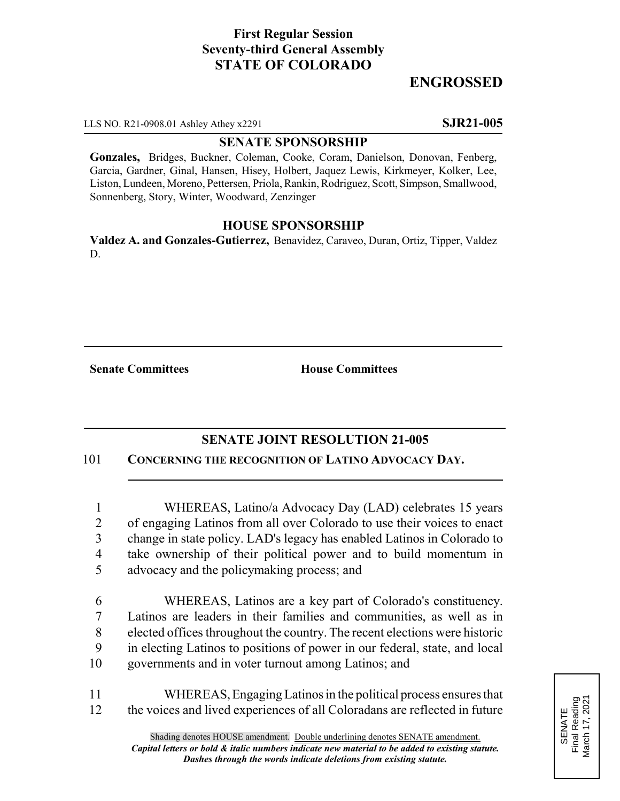# **First Regular Session Seventy-third General Assembly STATE OF COLORADO**

# **ENGROSSED**

LLS NO. R21-0908.01 Ashley Athey x2291 **SJR21-005**

#### **SENATE SPONSORSHIP**

**Gonzales,** Bridges, Buckner, Coleman, Cooke, Coram, Danielson, Donovan, Fenberg, Garcia, Gardner, Ginal, Hansen, Hisey, Holbert, Jaquez Lewis, Kirkmeyer, Kolker, Lee, Liston, Lundeen, Moreno, Pettersen, Priola, Rankin, Rodriguez, Scott, Simpson, Smallwood, Sonnenberg, Story, Winter, Woodward, Zenzinger

### **HOUSE SPONSORSHIP**

**Valdez A. and Gonzales-Gutierrez,** Benavidez, Caraveo, Duran, Ortiz, Tipper, Valdez D.

**Senate Committees House Committees** 

### **SENATE JOINT RESOLUTION 21-005**

101 **CONCERNING THE RECOGNITION OF LATINO ADVOCACY DAY.**

 WHEREAS, Latino/a Advocacy Day (LAD) celebrates 15 years of engaging Latinos from all over Colorado to use their voices to enact change in state policy. LAD's legacy has enabled Latinos in Colorado to take ownership of their political power and to build momentum in advocacy and the policymaking process; and

 WHEREAS, Latinos are a key part of Colorado's constituency. Latinos are leaders in their families and communities, as well as in elected offices throughout the country. The recent elections were historic in electing Latinos to positions of power in our federal, state, and local governments and in voter turnout among Latinos; and

11 WHEREAS, Engaging Latinos in the political process ensures that 12 the voices and lived experiences of all Coloradans are reflected in future

SENATE<br>Final Reading<br>March 17, 2021 Final Reading March 17, 2021